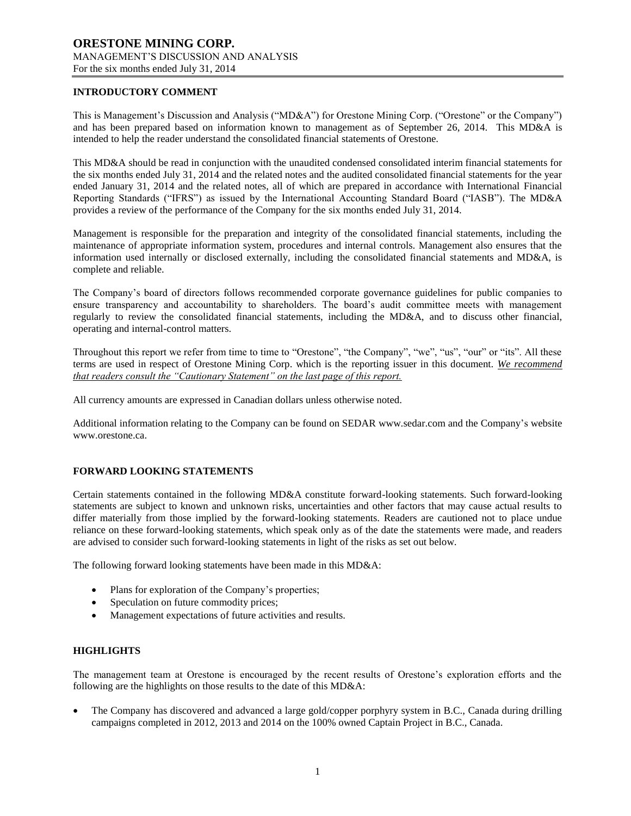## **INTRODUCTORY COMMENT**

This is Management's Discussion and Analysis ("MD&A") for Orestone Mining Corp. ("Orestone" or the Company") and has been prepared based on information known to management as of September 26, 2014. This MD&A is intended to help the reader understand the consolidated financial statements of Orestone.

This MD&A should be read in conjunction with the unaudited condensed consolidated interim financial statements for the six months ended July 31, 2014 and the related notes and the audited consolidated financial statements for the year ended January 31, 2014 and the related notes, all of which are prepared in accordance with International Financial Reporting Standards ("IFRS") as issued by the International Accounting Standard Board ("IASB"). The MD&A provides a review of the performance of the Company for the six months ended July 31, 2014.

Management is responsible for the preparation and integrity of the consolidated financial statements, including the maintenance of appropriate information system, procedures and internal controls. Management also ensures that the information used internally or disclosed externally, including the consolidated financial statements and MD&A, is complete and reliable.

The Company's board of directors follows recommended corporate governance guidelines for public companies to ensure transparency and accountability to shareholders. The board's audit committee meets with management regularly to review the consolidated financial statements, including the MD&A, and to discuss other financial, operating and internal-control matters.

Throughout this report we refer from time to time to "Orestone", "the Company", "we", "us", "our" or "its". All these terms are used in respect of Orestone Mining Corp. which is the reporting issuer in this document. *We recommend that readers consult the "Cautionary Statement" on the last page of this report.*

All currency amounts are expressed in Canadian dollars unless otherwise noted.

Additional information relating to the Company can be found on SEDAR www.sedar.com and the Company's website www.orestone.ca.

# **FORWARD LOOKING STATEMENTS**

Certain statements contained in the following MD&A constitute forward-looking statements. Such forward-looking statements are subject to known and unknown risks, uncertainties and other factors that may cause actual results to differ materially from those implied by the forward-looking statements. Readers are cautioned not to place undue reliance on these forward-looking statements, which speak only as of the date the statements were made, and readers are advised to consider such forward-looking statements in light of the risks as set out below.

The following forward looking statements have been made in this MD&A:

- Plans for exploration of the Company's properties;
- Speculation on future commodity prices;
- Management expectations of future activities and results.

# **HIGHLIGHTS**

The management team at Orestone is encouraged by the recent results of Orestone's exploration efforts and the following are the highlights on those results to the date of this MD&A:

 The Company has discovered and advanced a large gold/copper porphyry system in B.C., Canada during drilling campaigns completed in 2012, 2013 and 2014 on the 100% owned Captain Project in B.C., Canada.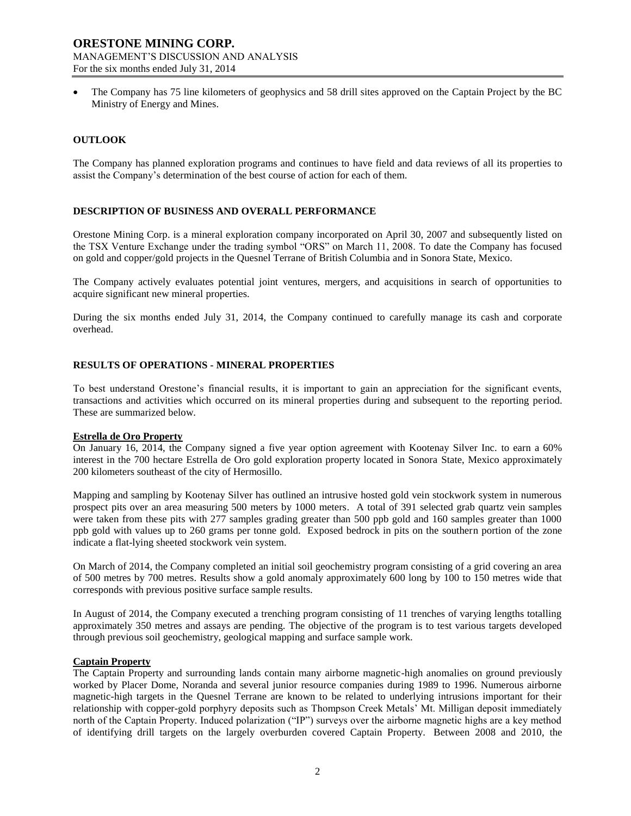The Company has 75 line kilometers of geophysics and 58 drill sites approved on the Captain Project by the BC Ministry of Energy and Mines.

### **OUTLOOK**

The Company has planned exploration programs and continues to have field and data reviews of all its properties to assist the Company's determination of the best course of action for each of them.

### **DESCRIPTION OF BUSINESS AND OVERALL PERFORMANCE**

Orestone Mining Corp. is a mineral exploration company incorporated on April 30, 2007 and subsequently listed on the TSX Venture Exchange under the trading symbol "ORS" on March 11, 2008. To date the Company has focused on gold and copper/gold projects in the Quesnel Terrane of British Columbia and in Sonora State, Mexico.

The Company actively evaluates potential joint ventures, mergers, and acquisitions in search of opportunities to acquire significant new mineral properties.

During the six months ended July 31, 2014, the Company continued to carefully manage its cash and corporate overhead.

### **RESULTS OF OPERATIONS - MINERAL PROPERTIES**

To best understand Orestone's financial results, it is important to gain an appreciation for the significant events, transactions and activities which occurred on its mineral properties during and subsequent to the reporting period. These are summarized below.

#### **Estrella de Oro Property**

On January 16, 2014, the Company signed a five year option agreement with Kootenay Silver Inc. to earn a 60% interest in the 700 hectare Estrella de Oro gold exploration property located in Sonora State, Mexico approximately 200 kilometers southeast of the city of Hermosillo.

Mapping and sampling by Kootenay Silver has outlined an intrusive hosted gold vein stockwork system in numerous prospect pits over an area measuring 500 meters by 1000 meters. A total of 391 selected grab quartz vein samples were taken from these pits with 277 samples grading greater than 500 ppb gold and 160 samples greater than 1000 ppb gold with values up to 260 grams per tonne gold. Exposed bedrock in pits on the southern portion of the zone indicate a flat-lying sheeted stockwork vein system.

On March of 2014, the Company completed an initial soil geochemistry program consisting of a grid covering an area of 500 metres by 700 metres. Results show a gold anomaly approximately 600 long by 100 to 150 metres wide that corresponds with previous positive surface sample results.

In August of 2014, the Company executed a trenching program consisting of 11 trenches of varying lengths totalling approximately 350 metres and assays are pending. The objective of the program is to test various targets developed through previous soil geochemistry, geological mapping and surface sample work.

#### **Captain Property**

The Captain Property and surrounding lands contain many airborne magnetic-high anomalies on ground previously worked by Placer Dome, Noranda and several junior resource companies during 1989 to 1996. Numerous airborne magnetic-high targets in the Quesnel Terrane are known to be related to underlying intrusions important for their relationship with copper-gold porphyry deposits such as Thompson Creek Metals' Mt. Milligan deposit immediately north of the Captain Property. Induced polarization ("IP") surveys over the airborne magnetic highs are a key method of identifying drill targets on the largely overburden covered Captain Property. Between 2008 and 2010, the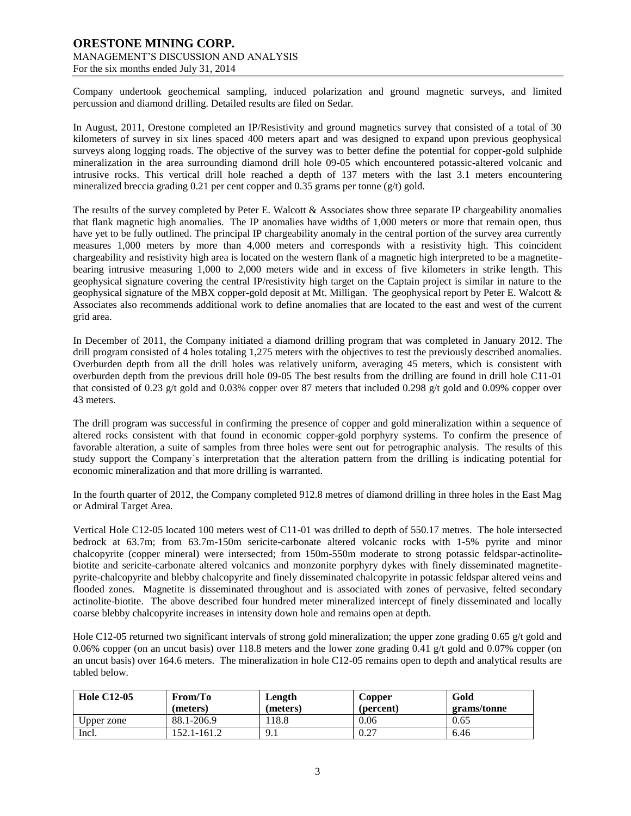Company undertook geochemical sampling, induced polarization and ground magnetic surveys, and limited percussion and diamond drilling. Detailed results are filed on Sedar.

In August, 2011, Orestone completed an IP/Resistivity and ground magnetics survey that consisted of a total of 30 kilometers of survey in six lines spaced 400 meters apart and was designed to expand upon previous geophysical surveys along logging roads. The objective of the survey was to better define the potential for copper-gold sulphide mineralization in the area surrounding diamond drill hole 09-05 which encountered potassic-altered volcanic and intrusive rocks. This vertical drill hole reached a depth of 137 meters with the last 3.1 meters encountering mineralized breccia grading 0.21 per cent copper and 0.35 grams per tonne (g/t) gold.

The results of the survey completed by Peter E. Walcott & Associates show three separate IP chargeability anomalies that flank magnetic high anomalies. The IP anomalies have widths of 1,000 meters or more that remain open, thus have yet to be fully outlined. The principal IP chargeability anomaly in the central portion of the survey area currently measures 1,000 meters by more than 4,000 meters and corresponds with a resistivity high. This coincident chargeability and resistivity high area is located on the western flank of a magnetic high interpreted to be a magnetitebearing intrusive measuring 1,000 to 2,000 meters wide and in excess of five kilometers in strike length. This geophysical signature covering the central IP/resistivity high target on the Captain project is similar in nature to the geophysical signature of the MBX copper-gold deposit at Mt. Milligan. The geophysical report by Peter E. Walcott & Associates also recommends additional work to define anomalies that are located to the east and west of the current grid area.

In December of 2011, the Company initiated a diamond drilling program that was completed in January 2012. The drill program consisted of 4 holes totaling 1,275 meters with the objectives to test the previously described anomalies. Overburden depth from all the drill holes was relatively uniform, averaging 45 meters, which is consistent with overburden depth from the previous drill hole 09-05 The best results from the drilling are found in drill hole C11-01 that consisted of 0.23 g/t gold and 0.03% copper over 87 meters that included 0.298 g/t gold and 0.09% copper over 43 meters.

The drill program was successful in confirming the presence of copper and gold mineralization within a sequence of altered rocks consistent with that found in economic copper-gold porphyry systems. To confirm the presence of favorable alteration, a suite of samples from three holes were sent out for petrographic analysis. The results of this study support the Company`s interpretation that the alteration pattern from the drilling is indicating potential for economic mineralization and that more drilling is warranted.

In the fourth quarter of 2012, the Company completed 912.8 metres of diamond drilling in three holes in the East Mag or Admiral Target Area.

Vertical Hole C12-05 located 100 meters west of C11-01 was drilled to depth of 550.17 metres. The hole intersected bedrock at 63.7m; from 63.7m-150m sericite-carbonate altered volcanic rocks with 1-5% pyrite and minor chalcopyrite (copper mineral) were intersected; from 150m-550m moderate to strong potassic feldspar-actinolitebiotite and sericite-carbonate altered volcanics and monzonite porphyry dykes with finely disseminated magnetitepyrite-chalcopyrite and blebby chalcopyrite and finely disseminated chalcopyrite in potassic feldspar altered veins and flooded zones. Magnetite is disseminated throughout and is associated with zones of pervasive, felted secondary actinolite-biotite. The above described four hundred meter mineralized intercept of finely disseminated and locally coarse blebby chalcopyrite increases in intensity down hole and remains open at depth.

Hole C12-05 returned two significant intervals of strong gold mineralization; the upper zone grading 0.65 g/t gold and 0.06% copper (on an uncut basis) over 118.8 meters and the lower zone grading 0.41 g/t gold and 0.07% copper (on an uncut basis) over 164.6 meters. The mineralization in hole C12-05 remains open to depth and analytical results are tabled below.

| <b>Hole C12-05</b> | From/To<br>(meters) | Length<br>(meters) | Copper<br>(percent) | Gold                |
|--------------------|---------------------|--------------------|---------------------|---------------------|
| Upper zone         | 88.1-206.9          | .18.8              | 0.06                | grams/tonne<br>0.65 |
| Incl.              | 152.1-161.2         | 9.1                | 0.27                | 6.46                |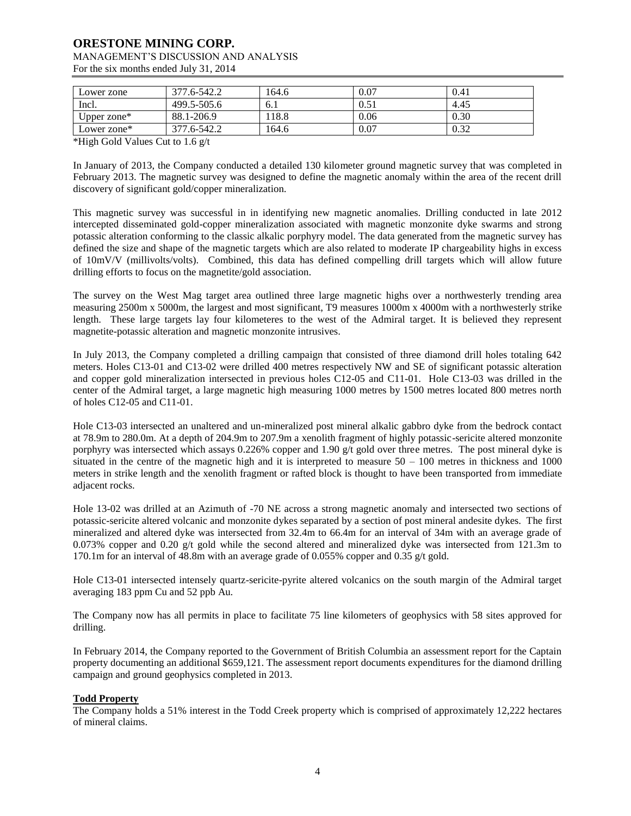# **ORESTONE MINING CORP.**

# MANAGEMENT'S DISCUSSION AND ANALYSIS

For the six months ended July 31, 2014

| Lower zone     | 377.6-542.2 | 164.6 | 0.07 | 0.41 |
|----------------|-------------|-------|------|------|
| Incl.          | 499.5-505.6 | 6.1   | 0.51 | 4.45 |
| Upper zone $*$ | 88.1-206.9  | 118.8 | 0.06 | 0.30 |
| Lower zone*    | 377.6-542.2 | 164.6 | 0.07 | 0.32 |

\*High Gold Values Cut to 1.6 g/t

In January of 2013, the Company conducted a detailed 130 kilometer ground magnetic survey that was completed in February 2013. The magnetic survey was designed to define the magnetic anomaly within the area of the recent drill discovery of significant gold/copper mineralization.

This magnetic survey was successful in in identifying new magnetic anomalies. Drilling conducted in late 2012 intercepted disseminated gold-copper mineralization associated with magnetic monzonite dyke swarms and strong potassic alteration conforming to the classic alkalic porphyry model. The data generated from the magnetic survey has defined the size and shape of the magnetic targets which are also related to moderate IP chargeability highs in excess of 10mV/V (millivolts/volts). Combined, this data has defined compelling drill targets which will allow future drilling efforts to focus on the magnetite/gold association.

The survey on the West Mag target area outlined three large magnetic highs over a northwesterly trending area measuring 2500m x 5000m, the largest and most significant, T9 measures 1000m x 4000m with a northwesterly strike length. These large targets lay four kilometeres to the west of the Admiral target. It is believed they represent magnetite-potassic alteration and magnetic monzonite intrusives.

In July 2013, the Company completed a drilling campaign that consisted of three diamond drill holes totaling 642 meters. Holes C13-01 and C13-02 were drilled 400 metres respectively NW and SE of significant potassic alteration and copper gold mineralization intersected in previous holes C12-05 and C11-01. Hole C13-03 was drilled in the center of the Admiral target, a large magnetic high measuring 1000 metres by 1500 metres located 800 metres north of holes C12-05 and C11-01.

Hole C13-03 intersected an unaltered and un-mineralized post mineral alkalic gabbro dyke from the bedrock contact at 78.9m to 280.0m. At a depth of 204.9m to 207.9m a xenolith fragment of highly potassic-sericite altered monzonite porphyry was intersected which assays 0.226% copper and 1.90 g/t gold over three metres. The post mineral dyke is situated in the centre of the magnetic high and it is interpreted to measure  $50 - 100$  metres in thickness and 1000 meters in strike length and the xenolith fragment or rafted block is thought to have been transported from immediate adjacent rocks.

Hole 13-02 was drilled at an Azimuth of -70 NE across a strong magnetic anomaly and intersected two sections of potassic-sericite altered volcanic and monzonite dykes separated by a section of post mineral andesite dykes. The first mineralized and altered dyke was intersected from 32.4m to 66.4m for an interval of 34m with an average grade of 0.073% copper and 0.20 g/t gold while the second altered and mineralized dyke was intersected from 121.3m to 170.1m for an interval of 48.8m with an average grade of 0.055% copper and 0.35 g/t gold.

Hole C13-01 intersected intensely quartz-sericite-pyrite altered volcanics on the south margin of the Admiral target averaging 183 ppm Cu and 52 ppb Au.

The Company now has all permits in place to facilitate 75 line kilometers of geophysics with 58 sites approved for drilling.

In February 2014, the Company reported to the Government of British Columbia an assessment report for the Captain property documenting an additional \$659,121. The assessment report documents expenditures for the diamond drilling campaign and ground geophysics completed in 2013.

# **Todd Property**

The Company holds a 51% interest in the Todd Creek property which is comprised of approximately 12,222 hectares of mineral claims.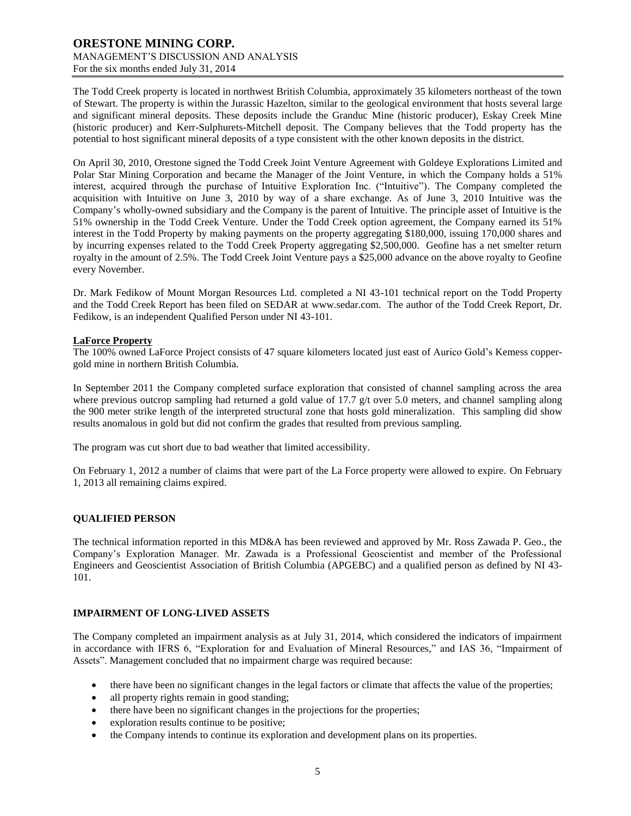The Todd Creek property is located in northwest British Columbia, approximately 35 kilometers northeast of the town of Stewart. The property is within the Jurassic Hazelton, similar to the geological environment that hosts several large and significant mineral deposits. These deposits include the Granduc Mine (historic producer), Eskay Creek Mine (historic producer) and Kerr-Sulphurets-Mitchell deposit. The Company believes that the Todd property has the potential to host significant mineral deposits of a type consistent with the other known deposits in the district.

On April 30, 2010, Orestone signed the Todd Creek Joint Venture Agreement with Goldeye Explorations Limited and Polar Star Mining Corporation and became the Manager of the Joint Venture, in which the Company holds a 51% interest, acquired through the purchase of Intuitive Exploration Inc. ("Intuitive"). The Company completed the acquisition with Intuitive on June 3, 2010 by way of a share exchange. As of June 3, 2010 Intuitive was the Company's wholly-owned subsidiary and the Company is the parent of Intuitive. The principle asset of Intuitive is the 51% ownership in the Todd Creek Venture. Under the Todd Creek option agreement, the Company earned its 51% interest in the Todd Property by making payments on the property aggregating \$180,000, issuing 170,000 shares and by incurring expenses related to the Todd Creek Property aggregating \$2,500,000. Geofine has a net smelter return royalty in the amount of 2.5%. The Todd Creek Joint Venture pays a \$25,000 advance on the above royalty to Geofine every November.

Dr. Mark Fedikow of Mount Morgan Resources Ltd. completed a NI 43-101 technical report on the Todd Property and the Todd Creek Report has been filed on SEDAR at [www.sedar.com.](http://www.sedar.com/) The author of the Todd Creek Report, Dr. Fedikow, is an independent Qualified Person under NI 43-101.

# **LaForce Property**

The 100% owned LaForce Project consists of 47 square kilometers located just east of Aurico Gold's Kemess coppergold mine in northern British Columbia.

In September 2011 the Company completed surface exploration that consisted of channel sampling across the area where previous outcrop sampling had returned a gold value of 17.7  $g/t$  over 5.0 meters, and channel sampling along the 900 meter strike length of the interpreted structural zone that hosts gold mineralization. This sampling did show results anomalous in gold but did not confirm the grades that resulted from previous sampling.

The program was cut short due to bad weather that limited accessibility.

On February 1, 2012 a number of claims that were part of the La Force property were allowed to expire. On February 1, 2013 all remaining claims expired.

# **QUALIFIED PERSON**

The technical information reported in this MD&A has been reviewed and approved by Mr. Ross Zawada P. Geo., the Company's Exploration Manager. Mr. Zawada is a Professional Geoscientist and member of the Professional Engineers and Geoscientist Association of British Columbia (APGEBC) and a qualified person as defined by NI 43- 101.

#### **IMPAIRMENT OF LONG-LIVED ASSETS**

The Company completed an impairment analysis as at July 31, 2014, which considered the indicators of impairment in accordance with IFRS 6, "Exploration for and Evaluation of Mineral Resources," and IAS 36, "Impairment of Assets". Management concluded that no impairment charge was required because:

- there have been no significant changes in the legal factors or climate that affects the value of the properties;
- all property rights remain in good standing;
- there have been no significant changes in the projections for the properties;
- exploration results continue to be positive;
- the Company intends to continue its exploration and development plans on its properties.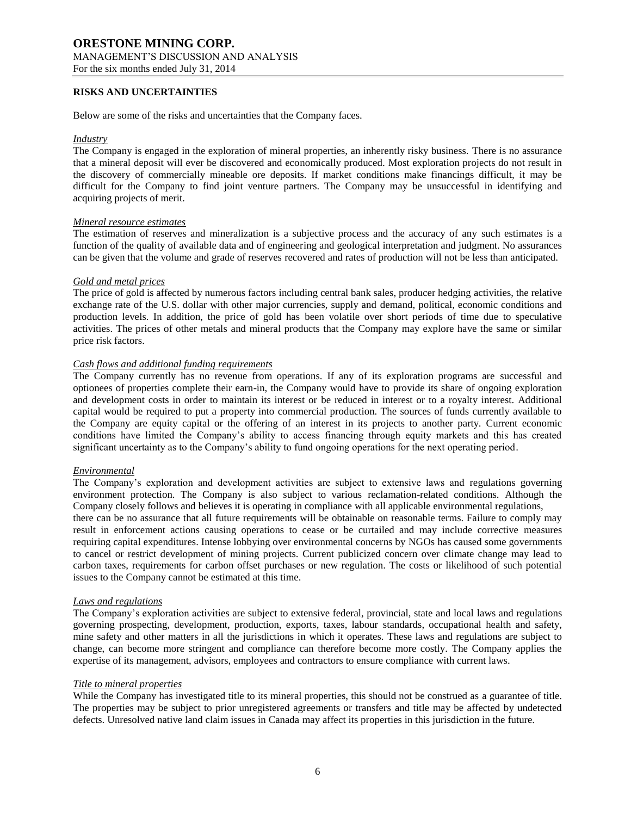#### **RISKS AND UNCERTAINTIES**

Below are some of the risks and uncertainties that the Company faces.

#### *Industry*

The Company is engaged in the exploration of mineral properties, an inherently risky business. There is no assurance that a mineral deposit will ever be discovered and economically produced. Most exploration projects do not result in the discovery of commercially mineable ore deposits. If market conditions make financings difficult, it may be difficult for the Company to find joint venture partners. The Company may be unsuccessful in identifying and acquiring projects of merit.

#### *Mineral resource estimates*

The estimation of reserves and mineralization is a subjective process and the accuracy of any such estimates is a function of the quality of available data and of engineering and geological interpretation and judgment. No assurances can be given that the volume and grade of reserves recovered and rates of production will not be less than anticipated.

#### *Gold and metal prices*

The price of gold is affected by numerous factors including central bank sales, producer hedging activities, the relative exchange rate of the U.S. dollar with other major currencies, supply and demand, political, economic conditions and production levels. In addition, the price of gold has been volatile over short periods of time due to speculative activities. The prices of other metals and mineral products that the Company may explore have the same or similar price risk factors.

# *Cash flows and additional funding requirements*

The Company currently has no revenue from operations. If any of its exploration programs are successful and optionees of properties complete their earn-in, the Company would have to provide its share of ongoing exploration and development costs in order to maintain its interest or be reduced in interest or to a royalty interest. Additional capital would be required to put a property into commercial production. The sources of funds currently available to the Company are equity capital or the offering of an interest in its projects to another party. Current economic conditions have limited the Company's ability to access financing through equity markets and this has created significant uncertainty as to the Company's ability to fund ongoing operations for the next operating period.

#### *Environmental*

The Company's exploration and development activities are subject to extensive laws and regulations governing environment protection. The Company is also subject to various reclamation-related conditions. Although the Company closely follows and believes it is operating in compliance with all applicable environmental regulations,

there can be no assurance that all future requirements will be obtainable on reasonable terms. Failure to comply may result in enforcement actions causing operations to cease or be curtailed and may include corrective measures requiring capital expenditures. Intense lobbying over environmental concerns by NGOs has caused some governments to cancel or restrict development of mining projects. Current publicized concern over climate change may lead to carbon taxes, requirements for carbon offset purchases or new regulation. The costs or likelihood of such potential issues to the Company cannot be estimated at this time.

#### *Laws and regulations*

The Company's exploration activities are subject to extensive federal, provincial, state and local laws and regulations governing prospecting, development, production, exports, taxes, labour standards, occupational health and safety, mine safety and other matters in all the jurisdictions in which it operates. These laws and regulations are subject to change, can become more stringent and compliance can therefore become more costly. The Company applies the expertise of its management, advisors, employees and contractors to ensure compliance with current laws.

#### *Title to mineral properties*

While the Company has investigated title to its mineral properties, this should not be construed as a guarantee of title. The properties may be subject to prior unregistered agreements or transfers and title may be affected by undetected defects. Unresolved native land claim issues in Canada may affect its properties in this jurisdiction in the future.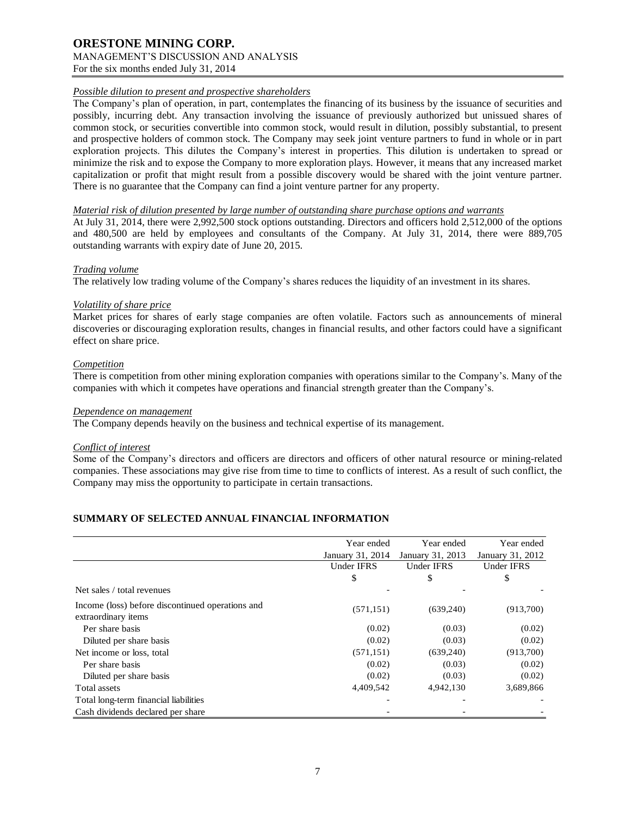# **ORESTONE MINING CORP.** MANAGEMENT'S DISCUSSION AND ANALYSIS

For the six months ended July 31, 2014

# *Possible dilution to present and prospective shareholders*

The Company's plan of operation, in part, contemplates the financing of its business by the issuance of securities and possibly, incurring debt. Any transaction involving the issuance of previously authorized but unissued shares of common stock, or securities convertible into common stock, would result in dilution, possibly substantial, to present and prospective holders of common stock. The Company may seek joint venture partners to fund in whole or in part exploration projects. This dilutes the Company's interest in properties. This dilution is undertaken to spread or minimize the risk and to expose the Company to more exploration plays. However, it means that any increased market capitalization or profit that might result from a possible discovery would be shared with the joint venture partner. There is no guarantee that the Company can find a joint venture partner for any property.

#### *Material risk of dilution presented by large number of outstanding share purchase options and warrants*

At July 31, 2014, there were 2,992,500 stock options outstanding. Directors and officers hold 2,512,000 of the options and 480,500 are held by employees and consultants of the Company. At July 31, 2014, there were 889,705 outstanding warrants with expiry date of June 20, 2015.

#### *Trading volume*

The relatively low trading volume of the Company's shares reduces the liquidity of an investment in its shares.

#### *Volatility of share price*

Market prices for shares of early stage companies are often volatile. Factors such as announcements of mineral discoveries or discouraging exploration results, changes in financial results, and other factors could have a significant effect on share price.

#### *Competition*

There is competition from other mining exploration companies with operations similar to the Company's. Many of the companies with which it competes have operations and financial strength greater than the Company's.

#### *Dependence on management*

The Company depends heavily on the business and technical expertise of its management.

#### *Conflict of interest*

Some of the Company's directors and officers are directors and officers of other natural resource or mining-related companies. These associations may give rise from time to time to conflicts of interest. As a result of such conflict, the Company may miss the opportunity to participate in certain transactions.

# **SUMMARY OF SELECTED ANNUAL FINANCIAL INFORMATION**

|                                                                         | Year ended        | Year ended        | Year ended        |
|-------------------------------------------------------------------------|-------------------|-------------------|-------------------|
|                                                                         | January 31, 2014  | January 31, 2013  | January 31, 2012  |
|                                                                         | <b>Under IFRS</b> | <b>Under IFRS</b> | <b>Under IFRS</b> |
|                                                                         | \$                | \$                | \$                |
| Net sales / total revenues                                              |                   |                   |                   |
| Income (loss) before discontinued operations and<br>extraordinary items | (571, 151)        | (639,240)         | (913,700)         |
| Per share basis                                                         | (0.02)            | (0.03)            | (0.02)            |
| Diluted per share basis                                                 | (0.02)            | (0.03)            | (0.02)            |
| Net income or loss, total                                               | (571, 151)        | (639,240)         | (913,700)         |
| Per share basis                                                         | (0.02)            | (0.03)            | (0.02)            |
| Diluted per share basis                                                 | (0.02)            | (0.03)            | (0.02)            |
| Total assets                                                            | 4,409,542         | 4,942,130         | 3,689,866         |
| Total long-term financial liabilities                                   |                   |                   |                   |
| Cash dividends declared per share                                       |                   |                   |                   |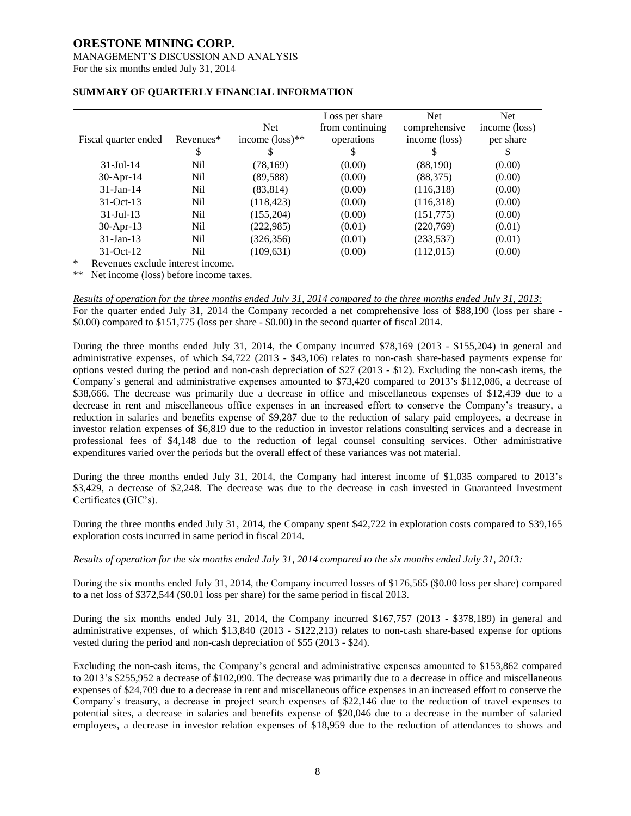# **ORESTONE MINING CORP.**

# MANAGEMENT'S DISCUSSION AND ANALYSIS

For the six months ended July 31, 2014

| Fiscal quarter ended | Revenues*<br>У | <b>Net</b><br>income $(\text{loss})^{**}$ | Loss per share<br>from continuing<br>operations | <b>Net</b><br>comprehensive<br>income (loss) | <b>Net</b><br>income (loss)<br>per share |
|----------------------|----------------|-------------------------------------------|-------------------------------------------------|----------------------------------------------|------------------------------------------|
| $31 -$ Jul $-14$     | Nil            | (78, 169)                                 | (0.00)                                          | (88,190)                                     | (0.00)                                   |
| 30-Apr-14            | Nil            | (89, 588)                                 | (0.00)                                          | (88, 375)                                    | (0.00)                                   |
| $31$ -Jan-14         | Nil            | (83, 814)                                 | (0.00)                                          | (116,318)                                    | (0.00)                                   |
| $31-Oct-13$          | Nil            | (118, 423)                                | (0.00)                                          | (116,318)                                    | (0.00)                                   |
| $31 -$ Jul $-13$     | Nil            | (155,204)                                 | (0.00)                                          | (151, 775)                                   | (0.00)                                   |
| 30-Apr-13            | Nil            | (222, 985)                                | (0.01)                                          | (220,769)                                    | (0.01)                                   |
| $31$ -Jan-13         | Nil            | (326, 356)                                | (0.01)                                          | (233, 537)                                   | (0.01)                                   |
| $31-Oct-12$          | Nil            | (109, 631)                                | (0.00)                                          | (112,015)                                    | (0.00)                                   |

# **SUMMARY OF QUARTERLY FINANCIAL INFORMATION**

Revenues exclude interest income.

\*\* Net income (loss) before income taxes.

*Results of operation for the three months ended July 31, 2014 compared to the three months ended July 31, 2013:* For the quarter ended July 31, 2014 the Company recorded a net comprehensive loss of \$88,190 (loss per share -  $$0.00$ ) compared to  $$151,775$  (loss per share  $$0.00$ ) in the second quarter of fiscal 2014.

During the three months ended July 31, 2014, the Company incurred \$78,169 (2013 - \$155,204) in general and administrative expenses, of which \$4,722 (2013 - \$43,106) relates to non-cash share-based payments expense for options vested during the period and non-cash depreciation of \$27 (2013 - \$12). Excluding the non-cash items, the Company's general and administrative expenses amounted to \$73,420 compared to 2013's \$112,086, a decrease of \$38,666. The decrease was primarily due a decrease in office and miscellaneous expenses of \$12,439 due to a decrease in rent and miscellaneous office expenses in an increased effort to conserve the Company's treasury, a reduction in salaries and benefits expense of \$9,287 due to the reduction of salary paid employees, a decrease in investor relation expenses of \$6,819 due to the reduction in investor relations consulting services and a decrease in professional fees of \$4,148 due to the reduction of legal counsel consulting services. Other administrative expenditures varied over the periods but the overall effect of these variances was not material.

During the three months ended July 31, 2014, the Company had interest income of \$1,035 compared to 2013's \$3,429, a decrease of \$2,248. The decrease was due to the decrease in cash invested in Guaranteed Investment Certificates (GIC's).

During the three months ended July 31, 2014, the Company spent \$42,722 in exploration costs compared to \$39,165 exploration costs incurred in same period in fiscal 2014.

# *Results of operation for the six months ended July 31, 2014 compared to the six months ended July 31, 2013:*

During the six months ended July 31, 2014, the Company incurred losses of \$176,565 (\$0.00 loss per share) compared to a net loss of \$372,544 (\$0.01 loss per share) for the same period in fiscal 2013.

During the six months ended July 31, 2014, the Company incurred \$167,757 (2013 - \$378,189) in general and administrative expenses, of which \$13,840 (2013 - \$122,213) relates to non-cash share-based expense for options vested during the period and non-cash depreciation of \$55 (2013 - \$24).

Excluding the non-cash items, the Company's general and administrative expenses amounted to \$153,862 compared to 2013's \$255,952 a decrease of \$102,090. The decrease was primarily due to a decrease in office and miscellaneous expenses of \$24,709 due to a decrease in rent and miscellaneous office expenses in an increased effort to conserve the Company's treasury, a decrease in project search expenses of \$22,146 due to the reduction of travel expenses to potential sites, a decrease in salaries and benefits expense of \$20,046 due to a decrease in the number of salaried employees, a decrease in investor relation expenses of \$18,959 due to the reduction of attendances to shows and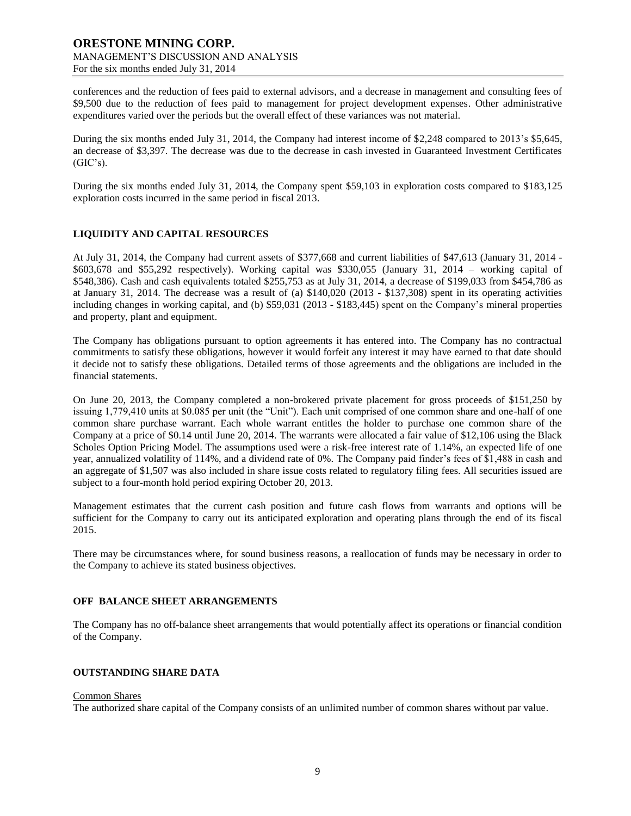conferences and the reduction of fees paid to external advisors, and a decrease in management and consulting fees of \$9,500 due to the reduction of fees paid to management for project development expenses. Other administrative expenditures varied over the periods but the overall effect of these variances was not material.

During the six months ended July 31, 2014, the Company had interest income of \$2,248 compared to 2013's \$5,645, an decrease of \$3,397. The decrease was due to the decrease in cash invested in Guaranteed Investment Certificates  $(GIC's)$ .

During the six months ended July 31, 2014, the Company spent \$59,103 in exploration costs compared to \$183,125 exploration costs incurred in the same period in fiscal 2013.

# **LIQUIDITY AND CAPITAL RESOURCES**

At July 31, 2014, the Company had current assets of \$377,668 and current liabilities of \$47,613 (January 31, 2014 - \$603,678 and \$55,292 respectively). Working capital was \$330,055 (January 31, 2014 – working capital of \$548,386). Cash and cash equivalents totaled \$255,753 as at July 31, 2014, a decrease of \$199,033 from \$454,786 as at January 31, 2014. The decrease was a result of (a) \$140,020 (2013 - \$137,308) spent in its operating activities including changes in working capital, and (b) \$59,031 (2013 - \$183,445) spent on the Company's mineral properties and property, plant and equipment.

The Company has obligations pursuant to option agreements it has entered into. The Company has no contractual commitments to satisfy these obligations, however it would forfeit any interest it may have earned to that date should it decide not to satisfy these obligations. Detailed terms of those agreements and the obligations are included in the financial statements.

On June 20, 2013, the Company completed a non-brokered private placement for gross proceeds of \$151,250 by issuing 1,779,410 units at \$0.085 per unit (the "Unit"). Each unit comprised of one common share and one-half of one common share purchase warrant. Each whole warrant entitles the holder to purchase one common share of the Company at a price of \$0.14 until June 20, 2014. The warrants were allocated a fair value of \$12,106 using the Black Scholes Option Pricing Model. The assumptions used were a risk-free interest rate of 1.14%, an expected life of one year, annualized volatility of 114%, and a dividend rate of 0%. The Company paid finder's fees of \$1,488 in cash and an aggregate of \$1,507 was also included in share issue costs related to regulatory filing fees. All securities issued are subject to a four-month hold period expiring October 20, 2013.

Management estimates that the current cash position and future cash flows from warrants and options will be sufficient for the Company to carry out its anticipated exploration and operating plans through the end of its fiscal 2015.

There may be circumstances where, for sound business reasons, a reallocation of funds may be necessary in order to the Company to achieve its stated business objectives.

#### **OFF BALANCE SHEET ARRANGEMENTS**

The Company has no off-balance sheet arrangements that would potentially affect its operations or financial condition of the Company.

#### **OUTSTANDING SHARE DATA**

#### Common Shares

The authorized share capital of the Company consists of an unlimited number of common shares without par value.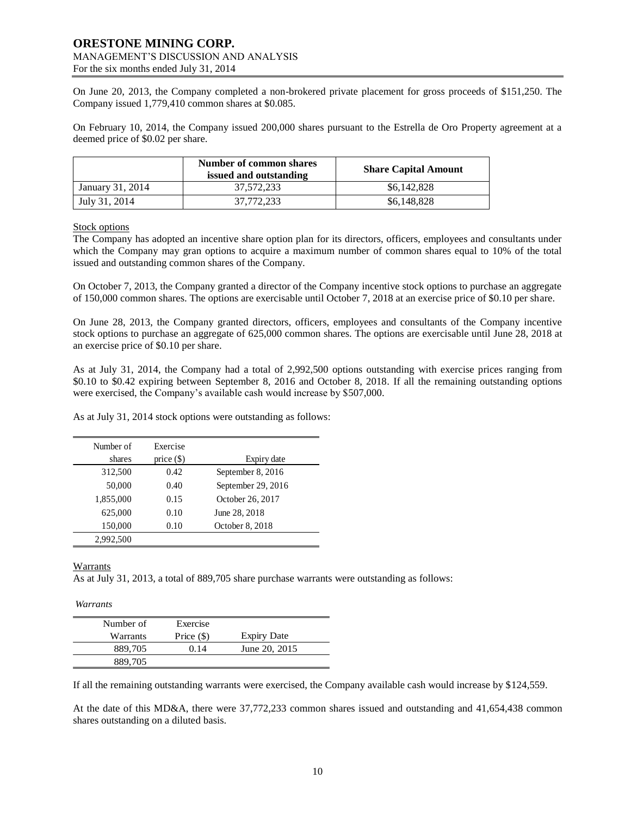On June 20, 2013, the Company completed a non-brokered private placement for gross proceeds of \$151,250. The Company issued 1,779,410 common shares at \$0.085.

On February 10, 2014, the Company issued 200,000 shares pursuant to the Estrella de Oro Property agreement at a deemed price of \$0.02 per share.

|                  | Number of common shares<br>issued and outstanding | <b>Share Capital Amount</b> |
|------------------|---------------------------------------------------|-----------------------------|
| January 31, 2014 | 37,572,233                                        | \$6,142,828                 |
| July 31, 2014    | 37.772.233                                        | \$6,148,828                 |

### Stock options

The Company has adopted an incentive share option plan for its directors, officers, employees and consultants under which the Company may gran options to acquire a maximum number of common shares equal to 10% of the total issued and outstanding common shares of the Company.

On October 7, 2013, the Company granted a director of the Company incentive stock options to purchase an aggregate of 150,000 common shares. The options are exercisable until October 7, 2018 at an exercise price of \$0.10 per share.

On June 28, 2013, the Company granted directors, officers, employees and consultants of the Company incentive stock options to purchase an aggregate of 625,000 common shares. The options are exercisable until June 28, 2018 at an exercise price of \$0.10 per share.

As at July 31, 2014, the Company had a total of 2,992,500 options outstanding with exercise prices ranging from \$0.10 to \$0.42 expiring between September 8, 2016 and October 8, 2018. If all the remaining outstanding options were exercised, the Company's available cash would increase by \$507,000.

As at July 31, 2014 stock options were outstanding as follows:

| Number of<br>shares | Exercise<br>price $(\$)$ | Expiry date        |
|---------------------|--------------------------|--------------------|
| 312,500             | 0.42                     | September 8, 2016  |
| 50,000              | 0.40                     | September 29, 2016 |
| 1,855,000           | 0.15                     | October 26, 2017   |
| 625,000             | 0.10                     | June 28, 2018      |
| 150,000             | 0.10                     | October 8, 2018    |
| 2,992,500           |                          |                    |

**Warrants** 

As at July 31, 2013, a total of 889,705 share purchase warrants were outstanding as follows:

*Warrants*

| Number of | Exercise     |                    |
|-----------|--------------|--------------------|
| Warrants  | Price $(\$)$ | <b>Expiry Date</b> |
| 889,705   | 0.14         | June 20, 2015      |
| 889,705   |              |                    |

If all the remaining outstanding warrants were exercised, the Company available cash would increase by \$124,559.

At the date of this MD&A, there were 37,772,233 common shares issued and outstanding and 41,654,438 common shares outstanding on a diluted basis.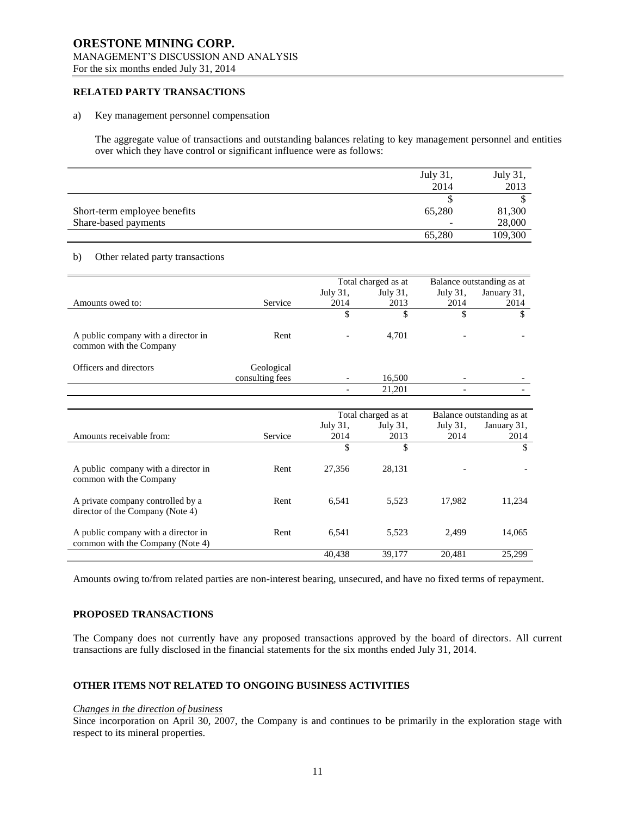# **ORESTONE MINING CORP.** MANAGEMENT'S DISCUSSION AND ANALYSIS

For the six months ended July 31, 2014

# **RELATED PARTY TRANSACTIONS**

#### a) Key management personnel compensation

The aggregate value of transactions and outstanding balances relating to key management personnel and entities over which they have control or significant influence were as follows:

|                              | July 31, | July 31, |
|------------------------------|----------|----------|
|                              | 2014     | 2013     |
|                              |          |          |
| Short-term employee benefits | 65.280   | 81,300   |
| Share-based payments         |          | 28,000   |
|                              | 65,280   | 109,300  |

#### b) Other related party transactions

|                                                                |                 | Total charged as at |                     | Balance outstanding as at |                           |
|----------------------------------------------------------------|-----------------|---------------------|---------------------|---------------------------|---------------------------|
|                                                                |                 | July 31,            | July 31,            | July 31,                  | January 31,               |
| Amounts owed to:                                               | Service         | 2014                | 2013                | 2014                      | 2014                      |
|                                                                |                 | ъ                   | \$                  | \$                        | S                         |
| A public company with a director in<br>common with the Company | Rent            |                     | 4,701               |                           |                           |
| Officers and directors                                         | Geological      |                     |                     |                           |                           |
|                                                                | consulting fees |                     | 16,500              |                           |                           |
|                                                                |                 |                     | 21,201              |                           |                           |
|                                                                |                 |                     |                     |                           |                           |
|                                                                |                 |                     | Total charged as at |                           | Balance outstanding as at |

|                                                                         |         | Total charged as at |          | Balance outstanding as at |             |
|-------------------------------------------------------------------------|---------|---------------------|----------|---------------------------|-------------|
|                                                                         |         | July 31,            | July 31, | July 31,                  | January 31, |
| Amounts receivable from:                                                | Service | 2014                | 2013     | 2014                      | 2014        |
|                                                                         |         | \$                  | \$       |                           | \$          |
| A public company with a director in<br>common with the Company          | Rent    | 27.356              | 28.131   |                           |             |
| A private company controlled by a<br>director of the Company (Note 4)   | Rent    | 6.541               | 5.523    | 17.982                    | 11,234      |
| A public company with a director in<br>common with the Company (Note 4) | Rent    | 6.541               | 5.523    | 2.499                     | 14,065      |
|                                                                         |         | 40.438              | 39.177   | 20.481                    | 25.299      |

Amounts owing to/from related parties are non-interest bearing, unsecured, and have no fixed terms of repayment.

#### **PROPOSED TRANSACTIONS**

The Company does not currently have any proposed transactions approved by the board of directors. All current transactions are fully disclosed in the financial statements for the six months ended July 31, 2014.

# **OTHER ITEMS NOT RELATED TO ONGOING BUSINESS ACTIVITIES**

#### *Changes in the direction of business*

Since incorporation on April 30, 2007, the Company is and continues to be primarily in the exploration stage with respect to its mineral properties.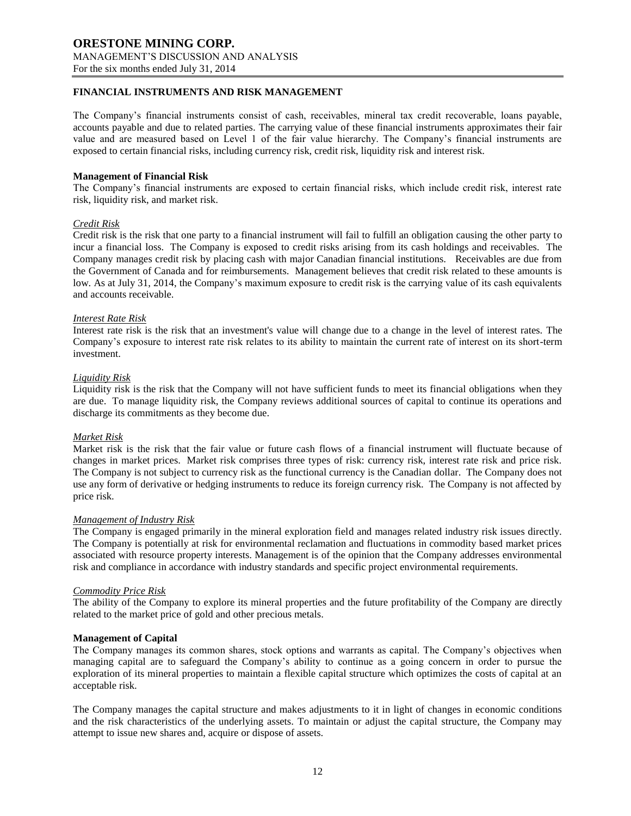# **FINANCIAL INSTRUMENTS AND RISK MANAGEMENT**

The Company's financial instruments consist of cash, receivables, mineral tax credit recoverable, loans payable, accounts payable and due to related parties. The carrying value of these financial instruments approximates their fair value and are measured based on Level 1 of the fair value hierarchy. The Company's financial instruments are exposed to certain financial risks, including currency risk, credit risk, liquidity risk and interest risk.

#### **Management of Financial Risk**

The Company's financial instruments are exposed to certain financial risks, which include credit risk, interest rate risk, liquidity risk, and market risk.

### *Credit Risk*

Credit risk is the risk that one party to a financial instrument will fail to fulfill an obligation causing the other party to incur a financial loss. The Company is exposed to credit risks arising from its cash holdings and receivables. The Company manages credit risk by placing cash with major Canadian financial institutions. Receivables are due from the Government of Canada and for reimbursements. Management believes that credit risk related to these amounts is low. As at July 31, 2014, the Company's maximum exposure to credit risk is the carrying value of its cash equivalents and accounts receivable.

#### *Interest Rate Risk*

Interest rate risk is the risk that an investment's value will change due to a change in the level of interest rates. The Company's exposure to interest rate risk relates to its ability to maintain the current rate of interest on its short-term investment.

#### *Liquidity Risk*

Liquidity risk is the risk that the Company will not have sufficient funds to meet its financial obligations when they are due. To manage liquidity risk, the Company reviews additional sources of capital to continue its operations and discharge its commitments as they become due.

#### *Market Risk*

Market risk is the risk that the fair value or future cash flows of a financial instrument will fluctuate because of changes in market prices. Market risk comprises three types of risk: currency risk, interest rate risk and price risk. The Company is not subject to currency risk as the functional currency is the Canadian dollar. The Company does not use any form of derivative or hedging instruments to reduce its foreign currency risk. The Company is not affected by price risk.

#### *Management of Industry Risk*

The Company is engaged primarily in the mineral exploration field and manages related industry risk issues directly. The Company is potentially at risk for environmental reclamation and fluctuations in commodity based market prices associated with resource property interests. Management is of the opinion that the Company addresses environmental risk and compliance in accordance with industry standards and specific project environmental requirements.

#### *Commodity Price Risk*

The ability of the Company to explore its mineral properties and the future profitability of the Company are directly related to the market price of gold and other precious metals.

#### **Management of Capital**

The Company manages its common shares, stock options and warrants as capital. The Company's objectives when managing capital are to safeguard the Company's ability to continue as a going concern in order to pursue the exploration of its mineral properties to maintain a flexible capital structure which optimizes the costs of capital at an acceptable risk.

The Company manages the capital structure and makes adjustments to it in light of changes in economic conditions and the risk characteristics of the underlying assets. To maintain or adjust the capital structure, the Company may attempt to issue new shares and, acquire or dispose of assets.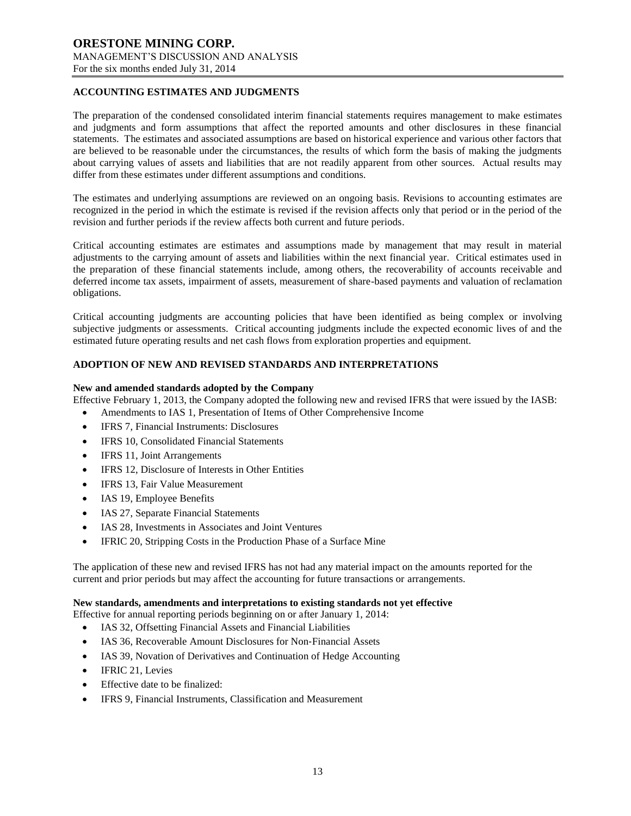# **ACCOUNTING ESTIMATES AND JUDGMENTS**

The preparation of the condensed consolidated interim financial statements requires management to make estimates and judgments and form assumptions that affect the reported amounts and other disclosures in these financial statements. The estimates and associated assumptions are based on historical experience and various other factors that are believed to be reasonable under the circumstances, the results of which form the basis of making the judgments about carrying values of assets and liabilities that are not readily apparent from other sources. Actual results may differ from these estimates under different assumptions and conditions.

The estimates and underlying assumptions are reviewed on an ongoing basis. Revisions to accounting estimates are recognized in the period in which the estimate is revised if the revision affects only that period or in the period of the revision and further periods if the review affects both current and future periods.

Critical accounting estimates are estimates and assumptions made by management that may result in material adjustments to the carrying amount of assets and liabilities within the next financial year. Critical estimates used in the preparation of these financial statements include, among others, the recoverability of accounts receivable and deferred income tax assets, impairment of assets, measurement of share-based payments and valuation of reclamation obligations.

Critical accounting judgments are accounting policies that have been identified as being complex or involving subjective judgments or assessments. Critical accounting judgments include the expected economic lives of and the estimated future operating results and net cash flows from exploration properties and equipment.

### **ADOPTION OF NEW AND REVISED STANDARDS AND INTERPRETATIONS**

#### **New and amended standards adopted by the Company**

Effective February 1, 2013, the Company adopted the following new and revised IFRS that were issued by the IASB:

- Amendments to IAS 1, Presentation of Items of Other Comprehensive Income
- IFRS 7, Financial Instruments: Disclosures
- IFRS 10, Consolidated Financial Statements
- IFRS 11, Joint Arrangements
- IFRS 12, Disclosure of Interests in Other Entities
- IFRS 13, Fair Value Measurement
- IAS 19, Employee Benefits
- IAS 27, Separate Financial Statements
- IAS 28, Investments in Associates and Joint Ventures
- IFRIC 20, Stripping Costs in the Production Phase of a Surface Mine

The application of these new and revised IFRS has not had any material impact on the amounts reported for the current and prior periods but may affect the accounting for future transactions or arrangements.

#### **New standards, amendments and interpretations to existing standards not yet effective**

Effective for annual reporting periods beginning on or after January 1, 2014:

- IAS 32, Offsetting Financial Assets and Financial Liabilities
- IAS 36, Recoverable Amount Disclosures for Non‐Financial Assets
- IAS 39, Novation of Derivatives and Continuation of Hedge Accounting
- IFRIC 21, Levies
- Effective date to be finalized:
- IFRS 9, Financial Instruments, Classification and Measurement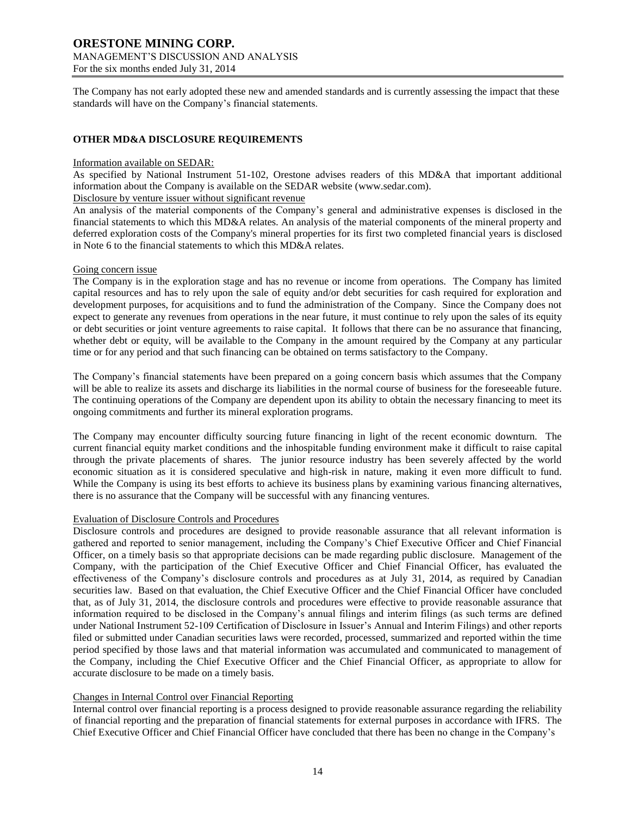The Company has not early adopted these new and amended standards and is currently assessing the impact that these standards will have on the Company's financial statements.

# **OTHER MD&A DISCLOSURE REQUIREMENTS**

#### Information available on SEDAR:

As specified by National Instrument 51-102, Orestone advises readers of this MD&A that important additional information about the Company is available on the SEDAR website (www.sedar.com).

Disclosure by venture issuer without significant revenue

An analysis of the material components of the Company's general and administrative expenses is disclosed in the financial statements to which this MD&A relates. An analysis of the material components of the mineral property and deferred exploration costs of the Company's mineral properties for its first two completed financial years is disclosed in Note 6 to the financial statements to which this MD&A relates.

### Going concern issue

The Company is in the exploration stage and has no revenue or income from operations. The Company has limited capital resources and has to rely upon the sale of equity and/or debt securities for cash required for exploration and development purposes, for acquisitions and to fund the administration of the Company. Since the Company does not expect to generate any revenues from operations in the near future, it must continue to rely upon the sales of its equity or debt securities or joint venture agreements to raise capital. It follows that there can be no assurance that financing, whether debt or equity, will be available to the Company in the amount required by the Company at any particular time or for any period and that such financing can be obtained on terms satisfactory to the Company.

The Company's financial statements have been prepared on a going concern basis which assumes that the Company will be able to realize its assets and discharge its liabilities in the normal course of business for the foreseeable future. The continuing operations of the Company are dependent upon its ability to obtain the necessary financing to meet its ongoing commitments and further its mineral exploration programs.

The Company may encounter difficulty sourcing future financing in light of the recent economic downturn. The current financial equity market conditions and the inhospitable funding environment make it difficult to raise capital through the private placements of shares. The junior resource industry has been severely affected by the world economic situation as it is considered speculative and high-risk in nature, making it even more difficult to fund. While the Company is using its best efforts to achieve its business plans by examining various financing alternatives, there is no assurance that the Company will be successful with any financing ventures.

#### Evaluation of Disclosure Controls and Procedures

Disclosure controls and procedures are designed to provide reasonable assurance that all relevant information is gathered and reported to senior management, including the Company's Chief Executive Officer and Chief Financial Officer, on a timely basis so that appropriate decisions can be made regarding public disclosure. Management of the Company, with the participation of the Chief Executive Officer and Chief Financial Officer, has evaluated the effectiveness of the Company's disclosure controls and procedures as at July 31, 2014, as required by Canadian securities law. Based on that evaluation, the Chief Executive Officer and the Chief Financial Officer have concluded that, as of July 31, 2014, the disclosure controls and procedures were effective to provide reasonable assurance that information required to be disclosed in the Company's annual filings and interim filings (as such terms are defined under National Instrument 52-109 Certification of Disclosure in Issuer's Annual and Interim Filings) and other reports filed or submitted under Canadian securities laws were recorded, processed, summarized and reported within the time period specified by those laws and that material information was accumulated and communicated to management of the Company, including the Chief Executive Officer and the Chief Financial Officer, as appropriate to allow for accurate disclosure to be made on a timely basis.

# Changes in Internal Control over Financial Reporting

Internal control over financial reporting is a process designed to provide reasonable assurance regarding the reliability of financial reporting and the preparation of financial statements for external purposes in accordance with IFRS. The Chief Executive Officer and Chief Financial Officer have concluded that there has been no change in the Company's